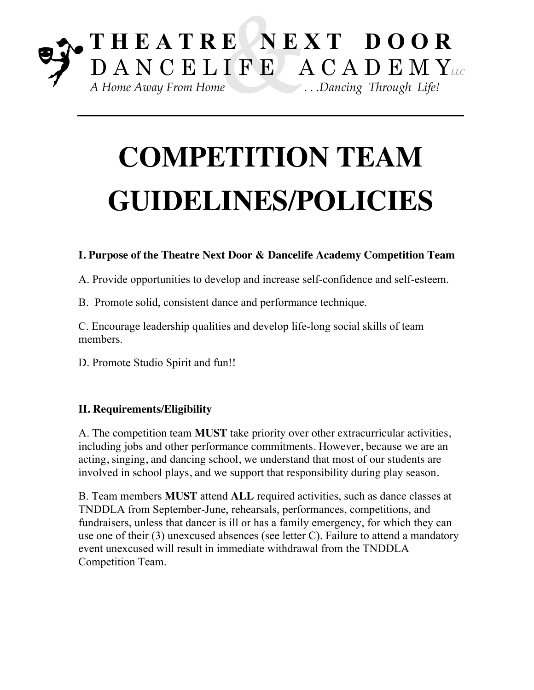# **COMPETITION TEAM GUIDELINES/POLICIES**

### **I. Purpose of the Theatre Next Door & Dancelife Academy Competition Team**

A. Provide opportunities to develop and increase self-confidence and self-esteem.

B. Promote solid, consistent dance and performance technique.

C. Encourage leadership qualities and develop life-long social skills of team members.

D. Promote Studio Spirit and fun!!

### **II. Requirements/Eligibility**

A. The competition team **MUST** take priority over other extracurricular activities, including jobs and other performance commitments. However, because we are an acting, singing, and dancing school, we understand that most of our students are involved in school plays, and we support that responsibility during play season.

B. Team members **MUST** attend **ALL** required activities, such as dance classes at TNDDLA from September-June, rehearsals, performances, competitions, and fundraisers, unless that dancer is ill or has a family emergency, for which they can use one of their (3) unexcused absences (see letter C). Failure to attend a mandatory event unexcused will result in immediate withdrawal from the TNDDLA Competition Team.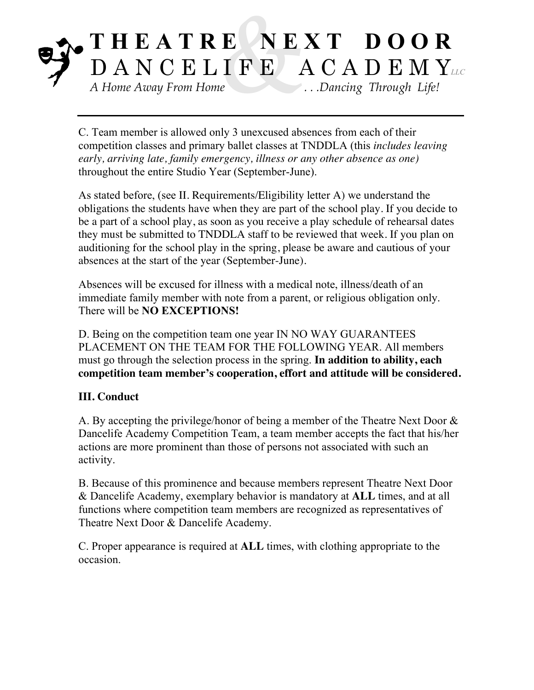C. Team member is allowed only 3 unexcused absences from each of their competition classes and primary ballet classes at TNDDLA (this *includes leaving early, arriving late, family emergency, illness or any other absence as one)*  throughout the entire Studio Year (September-June).

As stated before, (see II. Requirements/Eligibility letter A) we understand the obligations the students have when they are part of the school play. If you decide to be a part of a school play, as soon as you receive a play schedule of rehearsal dates they must be submitted to TNDDLA staff to be reviewed that week. If you plan on auditioning for the school play in the spring, please be aware and cautious of your absences at the start of the year (September-June).

Absences will be excused for illness with a medical note, illness/death of an immediate family member with note from a parent, or religious obligation only. There will be **NO EXCEPTIONS!**

D. Being on the competition team one year IN NO WAY GUARANTEES PLACEMENT ON THE TEAM FOR THE FOLLOWING YEAR. All members must go through the selection process in the spring. **In addition to ability, each competition team member's cooperation, effort and attitude will be considered.**

### **III. Conduct**

A. By accepting the privilege/honor of being a member of the Theatre Next Door & Dancelife Academy Competition Team, a team member accepts the fact that his/her actions are more prominent than those of persons not associated with such an activity.

B. Because of this prominence and because members represent Theatre Next Door & Dancelife Academy, exemplary behavior is mandatory at **ALL** times, and at all functions where competition team members are recognized as representatives of Theatre Next Door & Dancelife Academy.

C. Proper appearance is required at **ALL** times, with clothing appropriate to the occasion.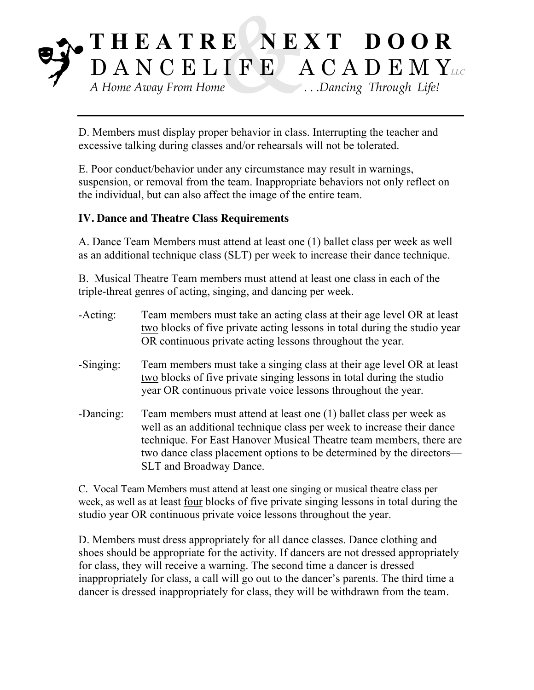D. Members must display proper behavior in class. Interrupting the teacher and excessive talking during classes and/or rehearsals will not be tolerated.

E. Poor conduct/behavior under any circumstance may result in warnings, suspension, or removal from the team. Inappropriate behaviors not only reflect on the individual, but can also affect the image of the entire team.

#### **IV. Dance and Theatre Class Requirements**

A. Dance Team Members must attend at least one (1) ballet class per week as well as an additional technique class (SLT) per week to increase their dance technique.

B. Musical Theatre Team members must attend at least one class in each of the triple-threat genres of acting, singing, and dancing per week.

| $-Acting:$  | Team members must take an acting class at their age level OR at least<br>two blocks of five private acting lessons in total during the studio year<br>OR continuous private acting lessons throughout the year.                                                                                                               |
|-------------|-------------------------------------------------------------------------------------------------------------------------------------------------------------------------------------------------------------------------------------------------------------------------------------------------------------------------------|
| $-Singing:$ | Team members must take a singing class at their age level OR at least<br>two blocks of five private singing lessons in total during the studio<br>year OR continuous private voice lessons throughout the year.                                                                                                               |
| -Dancing:   | Team members must attend at least one (1) ballet class per week as<br>well as an additional technique class per week to increase their dance<br>technique. For East Hanover Musical Theatre team members, there are<br>two dance class placement options to be determined by the directors—<br><b>SLT</b> and Broadway Dance. |

C. Vocal Team Members must attend at least one singing or musical theatre class per week, as well as at least four blocks of five private singing lessons in total during the studio year OR continuous private voice lessons throughout the year.

D. Members must dress appropriately for all dance classes. Dance clothing and shoes should be appropriate for the activity. If dancers are not dressed appropriately for class, they will receive a warning. The second time a dancer is dressed inappropriately for class, a call will go out to the dancer's parents. The third time a dancer is dressed inappropriately for class, they will be withdrawn from the team.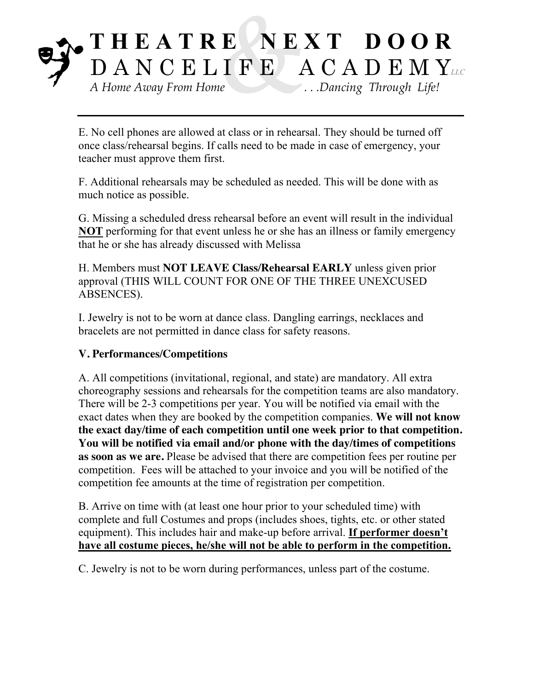E. No cell phones are allowed at class or in rehearsal. They should be turned off once class/rehearsal begins. If calls need to be made in case of emergency, your teacher must approve them first.

F. Additional rehearsals may be scheduled as needed. This will be done with as much notice as possible.

G. Missing a scheduled dress rehearsal before an event will result in the individual **NOT** performing for that event unless he or she has an illness or family emergency that he or she has already discussed with Melissa

H. Members must **NOT LEAVE Class/Rehearsal EARLY** unless given prior approval (THIS WILL COUNT FOR ONE OF THE THREE UNEXCUSED ABSENCES).

I. Jewelry is not to be worn at dance class. Dangling earrings, necklaces and bracelets are not permitted in dance class for safety reasons.

#### **V. Performances/Competitions**

A. All competitions (invitational, regional, and state) are mandatory. All extra choreography sessions and rehearsals for the competition teams are also mandatory. There will be 2-3 competitions per year. You will be notified via email with the exact dates when they are booked by the competition companies. **We will not know the exact day/time of each competition until one week prior to that competition. You will be notified via email and/or phone with the day/times of competitions as soon as we are.** Please be advised that there are competition fees per routine per competition. Fees will be attached to your invoice and you will be notified of the competition fee amounts at the time of registration per competition.

B. Arrive on time with (at least one hour prior to your scheduled time) with complete and full Costumes and props (includes shoes, tights, etc. or other stated equipment). This includes hair and make-up before arrival. **If performer doesn't have all costume pieces, he/she will not be able to perform in the competition.**

C. Jewelry is not to be worn during performances, unless part of the costume.